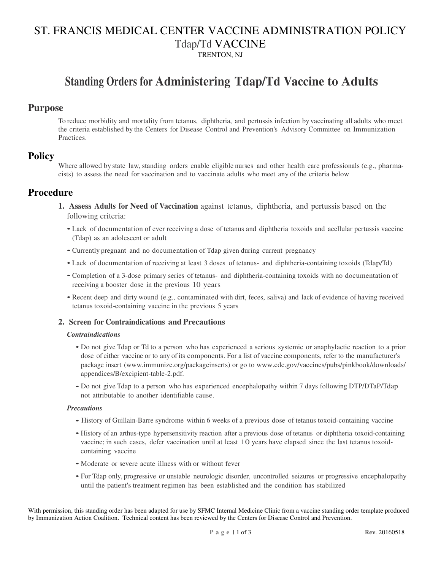# ST. FRANCIS MEDICAL CENTER VACCINE ADMINISTRATION POLICY Tdap/Td VACCINE TRENTON, NJ

# **Standing Orders for Administering Tdap/Td Vaccine to Adults**

## **Purpose**

To reduce morbidity and mortality from tetanus, diphtheria, and pertussis infection by vaccinating all adults who meet the criteria established by the Centers for Disease Control and Prevention's Advisory Committee on Immunization **Practices** 

## **Policy**

Where allowed by state law, standing orders enable eligible nurses and other health care professionals (e.g., pharmacists) to assess the need for vaccination and to vaccinate adults who meet any of the criteria below

## **Procedure**

- **1. Assess Adults for Need of Vaccination** against tetanus, diphtheria, and pertussis based on the following criteria:
	- Lack of documentation of ever receiving a dose of tetanus and diphtheria toxoids and acellular pertussis vaccine (Tdap) as an adolescent or adult
	- Currently pregnant and no documentation of Tdap given during current pregnancy
	- Lack of documentation of receiving at least 3 doses of tetanus- and diphtheria-containing toxoids (Tdap/Td)
	- Completion of a 3-dose primary series of tetanus- and diphtheria-containing toxoids with no documentation of receiving a booster dose in the previous 10 years
	- Recent deep and dirty wound (e.g., contaminated with dirt, feces, saliva) and lack of evidence of having received tetanus toxoid-containing vaccine in the previous 5 years

### **2. Screen for Contraindications and Precautions**

#### *Contraindications*

- Do not give Tdap or Td to a person who has experienced a serious systemic or anaphylactic reaction to a prior dose of either vaccine or to any of its components. For a list of vaccine components, refer to the manufacturer's package insert (www.immunize.org/packageinserts) or go to www.cdc.gov/vaccines/pubs/pinkbook/downloads/ appendices/B/excipient-table-2.pdf.
- Do not give Tdap to a person who has experienced encephalopathy within 7 days following DTP/DTaP/Tdap not attributable to another identifiable cause.

#### *Precautions*

- History of Guillain-Barre syndrome within 6 weeks of a previous dose of tetanus toxoid-containing vaccine
- History of an arthus-type hypersensitivity reaction after a previous dose of tetanus or diphtheria toxoid-containing vaccine; in such cases, defer vaccination until at least 10 years have elapsed since the last tetanus toxoidcontaining vaccine
- Moderate or severe acute illness with or without fever
- For Tdap only, progressive or unstable neurologic disorder, uncontrolled seizures or progressive encephalopathy until the patient's treatment regimen has been established and the condition has stabilized

With permission, this standing order has been adapted for use by SFMC Internal Medicine Clinic from a vaccine standing order template produced by Immunization Action Coalition. Technical content has been reviewed by the Centers for Disease Control and Prevention.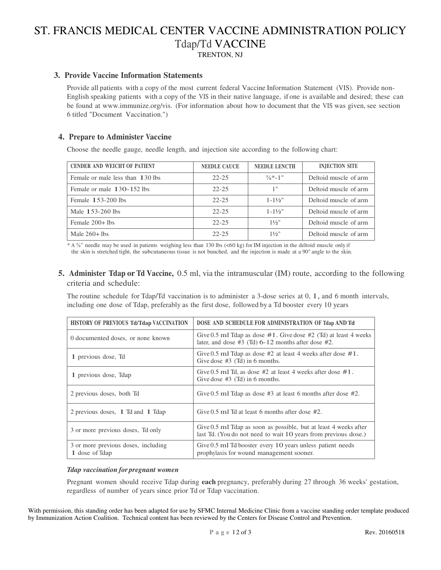# ST. FRANCIS MEDICAL CENTER VACCINE ADMINISTRATION POLICY Tdap/Td VACCINE TRENTON, NJ

#### **3. Provide Vaccine Information Statements**

Provide all patients with a copy of the most current federal Vaccine Information Statement (VIS). Provide non-English speaking patients with a copy of the VIS in their native language, if one is available and desired; these can be found at www.immunize.org/vis. (For information about how to document that the VIS was given, see section 6 titled "Document Vaccination.")

#### **4. Prepare to Administer Vaccine**

Choose the needle gauge, needle length, and injection site according to the following chart:

| <b>CENDER AND WEICHT OF PATIENT</b> | <b>NEEDLE CAUCE</b> | <b>NEEDLE LENCTH</b> | <b>INJECTION SITE</b> |
|-------------------------------------|---------------------|----------------------|-----------------------|
| Female or male less than 130 lbs    | $22 - 25$           | $\frac{5}{8}$ *-1"   | Deltoid muscle of arm |
| Female or male 130-152 lbs          | $22 - 25$           | 1"                   | Deltoid muscle of arm |
| Female $153-200$ lbs                | $22 - 25$           | $1 - 1\frac{1}{2}$   | Deltoid muscle of arm |
| Male 153-260 lbs                    | $22 - 25$           | $1 - 1\frac{1}{2}$   | Deltoid muscle of arm |
| Female 200+ lbs                     | $22 - 25$           | $1\frac{1}{2}$       | Deltoid muscle of arm |
| Male $260+1$ bs                     | $22 - 25$           | $1\frac{1}{2}$       | Deltoid muscle of arm |

 $* A$  <sup>5</sup>/<sub>8</sub>" needle may be used in patients weighing less than 130 lbs (<60 kg) for IM injection in the deltoid muscle only if the skin is stretched tight, the subcutaneous tissue is not bunched, and the injection is made at a 90° angle to the skin.

### **5. Administer Tdap or Td Vaccine,** 0.5 ml, via the intramuscular (IM) route, according to the following criteria and schedule:

The routine schedule for Tdap/Td vaccination is to administer a 3-dose series at 0, 1, and 6 month intervals, including one dose of Tdap, preferably as the first dose, followed by a Td booster every 10 years

| <b>HISTORY OF PREVIOUS Td/Tdap VACCINATION</b>        | DOSE AND SCHEDULE FOR ADMINISTRATION OF Tdap AND Td                                                                                 |  |
|-------------------------------------------------------|-------------------------------------------------------------------------------------------------------------------------------------|--|
| 0 documented doses, or none known                     | Give 0.5 ml Tdap as dose $#1$ . Give dose $#2$ (Td) at least 4 weeks<br>later, and dose $#3$ (Td) 6-12 months after dose $#2$ .     |  |
| 1 previous dose, Td                                   | Give 0.5 ml Tdap as dose $#2$ at least 4 weeks after dose $#1$ .<br>Give dose $#3$ (Td) in 6 months.                                |  |
| 1 previous dose, Tdap                                 | Give 0.5 ml Td, as dose $#2$ at least 4 weeks after dose $#1$ .<br>Give dose $#3$ (Td) in 6 months.                                 |  |
| 2 previous doses, both Td                             | Give $0.5$ ml Tdap as dose #3 at least 6 months after dose #2.                                                                      |  |
| 2 previous doses, 1 Td and 1 Tdap                     | Give $0.5$ ml Td at least 6 months after dose $#2$ .                                                                                |  |
| 3 or more previous doses, Td only                     | Give 0.5 ml Tdap as soon as possible, but at least 4 weeks after<br>last Td. (You do not need to wait 10 years from previous dose.) |  |
| 3 or more previous doses, including<br>1 dose of Tdap | Give 0.5 ml Td booster every 10 years unless patient needs<br>prophylaxis for wound management sooner.                              |  |

#### *Tdap vaccination for pregnant women*

Pregnant women should receive Tdap during **each** pregnancy, preferably during 27 through 36 weeks' gestation, regardless of number of years since prior Td or Tdap vaccination.

With permission, this standing order has been adapted for use by SFMC Internal Medicine Clinic from a vaccine standing order template produced by Immunization Action Coalition. Technical content has been reviewed by the Centers for Disease Control and Prevention.